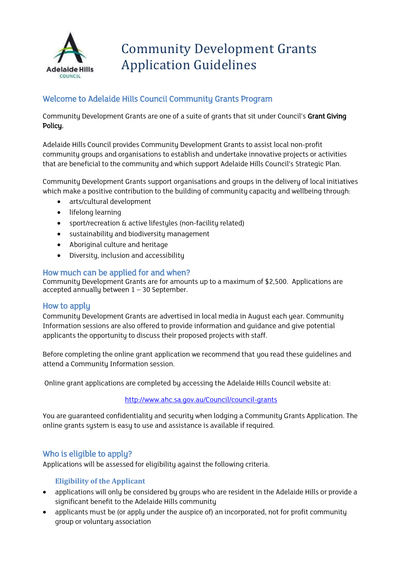

# Community Development Grants Application Guidelines

# Welcome to Adelaide Hills Council Community Grants Program

Community Development Grants are one of a suite of grants that sit under Council's Grant Giving Policy.

Adelaide Hills Council provides Community Development Grants to assist local non-profit community groups and organisations to establish and undertake innovative projects or activities that are beneficial to the community and which support Adelaide Hills Council's Strategic Plan.

Community Development Grants support organisations and groups in the delivery of local initiatives which make a positive contribution to the building of community capacity and wellbeing through:

- arts/cultural development
- lifelong learning
- sport/recreation & active lifestyles (non-facility related)
- sustainability and biodiversity management
- Aboriginal culture and heritage
- Diversity, inclusion and accessibility

# How much can be applied for and when?

Community Development Grants are for amounts up to a maximum of \$2,500. Applications are accepted annually between  $1 - 30$  September.

# How to apply

Community Development Grants are advertised in local media in August each year. Community Information sessions are also offered to provide information and guidance and give potential applicants the opportunity to discuss their proposed projects with staff.

Before completing the online grant application we recommend that you read these guidelines and attend a Community Information session.

Online grant applications are completed by accessing the Adelaide Hills Council website at:

#### <http://www.ahc.sa.gov.au/Council/council-grants>

You are guaranteed confidentiality and security when lodging a Community Grants Application. The online grants system is easy to use and assistance is available if required.

# Who is eligible to apply?

Applications will be assessed for eligibility against the following criteria.

# **Eligibility of the Applicant**

- applications will only be considered by groups who are resident in the Adelaide Hills or provide a significant benefit to the Adelaide Hills community
- applicants must be (or apply under the auspice of) an incorporated, not for profit community group or voluntary association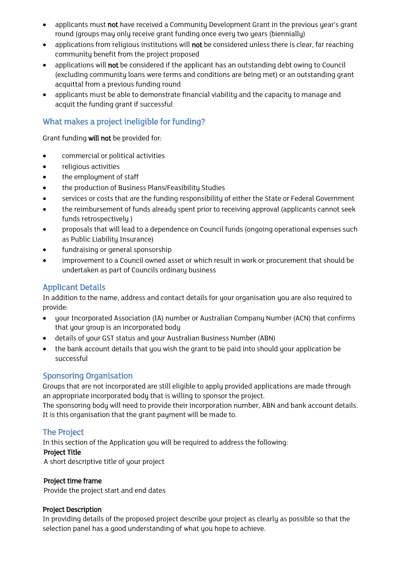- applicants must not have received a Community Development Grant in the previous year's grant round (groups may only receive grant funding once every two years (biennially)
- applications from religious institutions will not be considered unless there is clear, far reaching community benefit from the project proposed
- applications will not be considered if the applicant has an outstanding debt owing to Council (excluding community loans were terms and conditions are being met) or an outstanding grant acquittal from a previous funding round
- applicants must be able to demonstrate financial viability and the capacity to manage and acquit the funding grant if successful

# What makes a project ineligible for funding?

Grant funding will not be provided for:

- commercial or political activities
- religious activities
- the employment of staff
- the production of Business Plans/Feasibility Studies
- services or costs that are the funding responsibility of either the State or Federal Government
- the reimbursement of funds already spent prior to receiving approval (applicants cannot seek funds retrospectively )
- proposals that will lead to a dependence on Council funds (ongoing operational expenses such as Public Liability Insurance)
- fundraising or general sponsorship
- improvement to a Council owned asset or which result in work or procurement that should be undertaken as part of Councils ordinary business

# Applicant Details

In addition to the name, address and contact details for your organisation you are also required to provide:

- your Incorporated Association (IA) number or Australian Company Number (ACN) that confirms that your group is an incorporated body
- details of your GST status and your Australian Business Number (ABN)
- the bank account details that you wish the grant to be paid into should your application be successful

# Sponsoring Organisation

Groups that are not incorporated are still eligible to apply provided applications are made through an appropriate incorporated body that is willing to sponsor the project.

The sponsoring body will need to provide their incorporation number, ABN and bank account details. It is this organisation that the grant payment will be made to.

# The Project

In this section of the Application you will be required to address the following:

# Project Title

A short descriptive title of your project

#### Project time frame

Provide the project start and end dates

#### Project Description

In providing details of the proposed project describe your project as clearly as possible so that the selection panel has a good understanding of what you hope to achieve.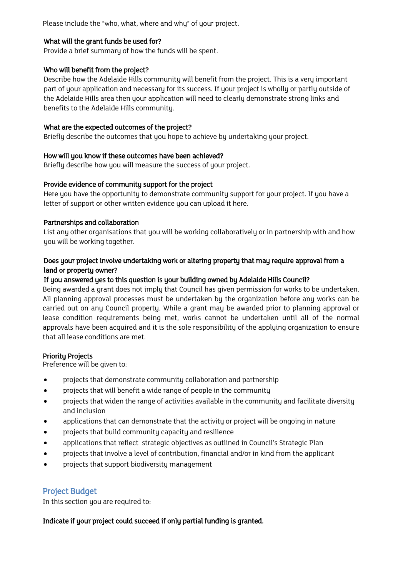Please include the "who, what, where and whu" of your project.

#### What will the grant funds be used for?

Provide a brief summary of how the funds will be spent.

#### Who will benefit from the project?

Describe how the Adelaide Hills community will benefit from the project. This is a very important part of your application and necessary for its success. If your project is wholly or partly outside of the Adelaide Hills area then your application will need to clearly demonstrate strong links and benefits to the Adelaide Hills community.

## What are the expected outcomes of the project?

Briefly describe the outcomes that you hope to achieve by undertaking your project.

#### How will you know if these outcomes have been achieved?

Briefly describe how you will measure the success of your project.

#### Provide evidence of community support for the project

Here you have the opportunity to demonstrate community support for your project. If you have a letter of support or other written evidence you can upload it here.

#### Partnerships and collaboration

List any other organisations that you will be working collaboratively or in partnership with and how you will be working together.

## Does your project involve undertaking work or altering property that may require approval from a land or property owner?

# If you answered yes to this question is your building owned by Adelaide Hills Council?

Being awarded a grant does not imply that Council has given permission for works to be undertaken. All planning approval processes must be undertaken by the organization before any works can be carried out on any Council property. While a grant may be awarded prior to planning approval or lease condition requirements being met, works cannot be undertaken until all of the normal approvals have been acquired and it is the sole responsibility of the applying organization to ensure that all lease conditions are met.

# Priority Projects

Preference will be given to:

- projects that demonstrate community collaboration and partnership
- projects that will benefit a wide range of people in the community
- projects that widen the range of activities available in the community and facilitate diversity and inclusion
- applications that can demonstrate that the activity or project will be ongoing in nature
- projects that build community capacity and resilience
- applications that reflect strategic objectives as outlined in Council's Strategic Plan
- projects that involve a level of contribution, financial and/or in kind from the applicant
- projects that support biodiversity management

# Project Budget

In this section you are required to:

# Indicate if your project could succeed if only partial funding is granted.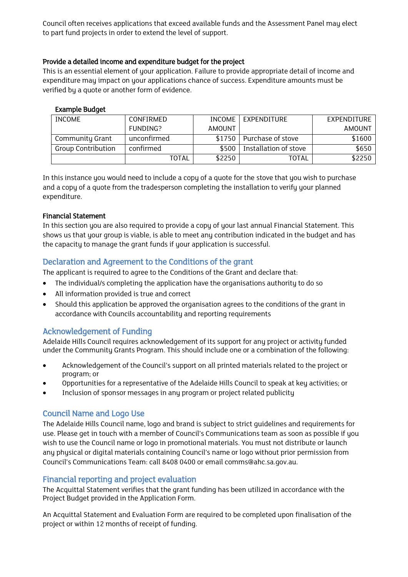Council often receives applications that exceed available funds and the Assessment Panel may elect to part fund projects in order to extend the level of support.

#### Provide a detailed income and expenditure budget for the project

This is an essential element of your application. Failure to provide appropriate detail of income and expenditure may impact on your applications chance of success. Expenditure amounts must be verified by a quote or another form of evidence.

#### Example Budget

| <b>INCOME</b>             | CONFIRMED   | <b>INCOME</b> | EXPENDITURE           | EXPENDITURE   |
|---------------------------|-------------|---------------|-----------------------|---------------|
|                           | FUNDING?    | <b>AMOUNT</b> |                       | <b>AMOUNT</b> |
| Community Grant           | unconfirmed | \$1750        | Purchase of stove     | \$1600        |
| <b>Group Contribution</b> | confirmed   | \$500         | Installation of stove | \$650         |
|                           | TOTAL       | \$2250        | <b>TOTAL</b>          | \$2250        |

In this instance you would need to include a copy of a quote for the stove that you wish to purchase and a copy of a quote from the tradesperson completing the installation to verify your planned expenditure.

#### Financial Statement

In this section you are also required to provide a copy of your last annual Financial Statement. This shows us that your group is viable, is able to meet any contribution indicated in the budget and has the capacity to manage the grant funds if your application is successful.

# Declaration and Agreement to the Conditions of the grant

The applicant is required to agree to the Conditions of the Grant and declare that:

- The individual/s completing the application have the organisations authority to do so
- All information provided is true and correct
- Should this application be approved the organisation agrees to the conditions of the grant in accordance with Councils accountability and reporting requirements

# Acknowledgement of Funding

Adelaide Hills Council requires acknowledgement of its support for any project or activity funded under the Community Grants Program. This should include one or a combination of the following:

- Acknowledgement of the Council's support on all printed materials related to the project or program; or
- Opportunities for a representative of the Adelaide Hills Council to speak at key activities; or
- Inclusion of sponsor messages in any program or project related publicity

# Council Name and Logo Use

The Adelaide Hills Council name, logo and brand is subject to strict guidelines and requirements for use. Please get in touch with a member of Council's Communications team as soon as possible if you wish to use the Council name or logo in promotional materials. You must not distribute or launch any physical or digital materials containing Council's name or logo without prior permission from Council's Communications Team: call 8408 0400 or email comms@ahc.sa.gov.au.

# Financial reporting and project evaluation

The Acquittal Statement verifies that the grant funding has been utilized in accordance with the Project Budget provided in the Application Form.

An Acquittal Statement and Evaluation Form are required to be completed upon finalisation of the project or within 12 months of receipt of funding.